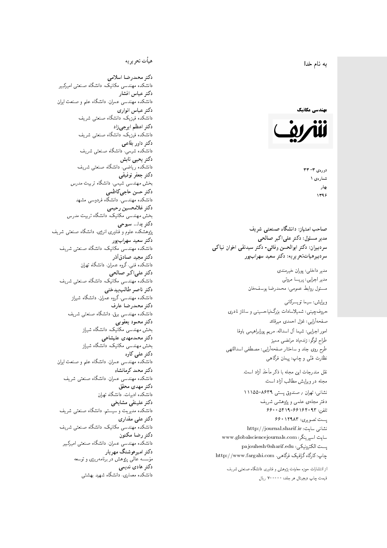#### $\overline{\phantom{a}}$ ز<br>ن به نام خدا .<br>.

#### مهندسی مکانیک



دورەي ٣- ٣٣ شمارەي ۱ بهار 1396

صاحب امتیاز: دانشگاه صنعتی شریف  $\overline{a}$ مدیر مسئول: دکتر علیاکبر صالحی  $\overline{a}$ سردبیران: دکتر ابوالحسن وفائی- دکتر سیدنقی اخوان نیاکی سردبیرهیاتتحر یر یه : دکتر سعید سهرابپور

> مدير داخلى: پوران خيرمندى<br>. مدير اجرايي: پريسا مروتي<br>. مسئول روابط عمومی: محمدرضا يوسفخان<br>.

ويرايش: سيما تويسركان<sub>ى</sub><br>م امور اجرایی: شیما آل اسداله، مریم پورابراهیمی باوفا طراح لوگو: زندهیاد مرتضمی ممیز<br>ا طرح روى جلد و ساختار صفحه[رایی: مصطفى اسداللهی<br>بنالمستقد نظارت فنَّى و چاپ: پيمان فرگاهى<br>. حروفچینبی: شمیلاسادات بزرگنیاحسینبی و ساناز نادری صفحهآرای<sub>جه</sub>: غزل احمدی میرقائد

نقل مندرجات این مجله با ذکر مأخذ آزاد است.<br>مجله در ویرایش مطالب آزاد است.

نشانی: تهران / صندوق یستی ۸۶۳۹-۱۱۱۵۵ دفتر مجلهى علمى و پژوهشى شريف 7600 0619-981960 × 860

پست تصویری: ۱۲۹۸۳ ۶۶۰ نشانی سایت: http://journal.sharif.ir<br>ء سایت اسپرینگر: www.globalsciencejournals.com<br>افکار کافی کے مطابق کافیل کے مطابق کافیل کے مطابق کافیل کے مطابق کافیل کرنا pajouhesh@sharif.edu ; يست الكترونيكي:  ${\rm http://www.fargahi.com}$  چاپ: کارگاه گرافیک فرگاهی،

از انتشارات حوزه معاونت پژوهش و فناوری دانشگاه صنعتی شریف قيمت جاپ ديجيتال هر جلد: ۲۰۰۰۰۰ ريال

## هيأت تحريريه

دكتر محمدرضا اسلامى مکانیک، دانشگاه صنعتی امیرکبیر<br>. دكتر عباس افشار دانشکده مهندسی عمران، دانشگاه علم و صنعت ایران<br>بحمد مصلحات دكتر عباس انوارى دانشکده فیزیک، دانشگاه صنعتبی شریف<br>محمد استانسا دکتر اعظم ايرجى زاد ، دانشگاه صنعتبی شریف<br>. دکتر داور بقاع**ی** دانشکده شیمی، دانشگاه صنعتی شریف<br>دکتر یحیی تابش دانشکده ریاضی، دانشگاه صنعتی شریف<br>برمسمنستانستان دكتر جعفر توفيقي بخش مهندسی شیمی، دانشگاه تربیت مدرس<br>سم دكتر حسن حاجىكاظمي دانشکده مهندسی، دانشگاه فردوسی مشهد<br>کستفلار م دكتر غلامحسين رحيمي هندسی مکانیک، دانشگاه تربیت مدرس<br>ا دکتر یدا... سبوحی یژوهشکده علوم و فناوری انرژی، دانشگاه صنعتی شریف دکتر سعید سهرابپور<br>دانشکده مهندسی مکانیک، دانشگاه صنعتی شریف دکتر مجيد صادقاذر ا<br>. دانشکده فنی، گروه عمران، دانشگاه تهران دکتر علیاکبر صالحی = دانشکده مهندسی مکانیک، دانشگاه صنعتی شریف<br>یکستا دکتر ناصر طالب بیدختی r  $\mathfrak{c}$ دانشکده مهندسی، گروه عمران، دانشگاه شیراز<br>مکتب مصدر مقبل علم دكتر محمدرضا عارف دانشکده مهندسی برق، دانشگاه صنعتی شریف<br><mark>دکتر محمود یعقوبی</mark> هندسی مکانیک، دانشگاه شیراز<br>مسدوده مصلوفیاه دکتر محمدمهدی علیشاهی بخش مهندسی مکانیک، دانشگاه شیراز<br>مکتبهای کابی دکتر علی کاوہ دانشکده مهندسی عمران، دانشگاه علم و صنعت ایران<br>بحت دکتر محمد کرمانشاه .<br>. دانشکده مهندسی عمران، دانشگاه صنعتی شریف<br>مکتبر دولت مستق دکتر مهد*ی* محقق دانشکده ادبیات، دانشگاه تهران دکتر علینقی مشایخ<u>ی</u> دانشکده مدیریت و سیستم، دانشگاه صنعتبی شریف<br>محمد باست دکتر علی مقداری دانشکده مهندسی مکانیک، دانشگاه صنعتی شریف<br><mark>دکتر رضا مکنون</mark> دانشکده مهندسی عمران. دانشگاه صنعتی امیرکبیر<br>محمد است میگ دکتر امیرهوشنگ مهریار سه عالمی پژوهش در برنامهریزی و توسعه<br>۱۹ادم خار موسه<br>بر ءُ<br>ك دکتر هادی ندیمی  $\overline{a}$ المحلكة المسلمانية التي يتم المحل المسلمان والتي تتم المحل المحل المحل المحل المحل المحل المحل المحل المحل الم<br>والتي تتم المحل المحل المحل المحل المحل المحل المحل المحل المحل المحل المحل المحل المحل المحل المحل المحل المح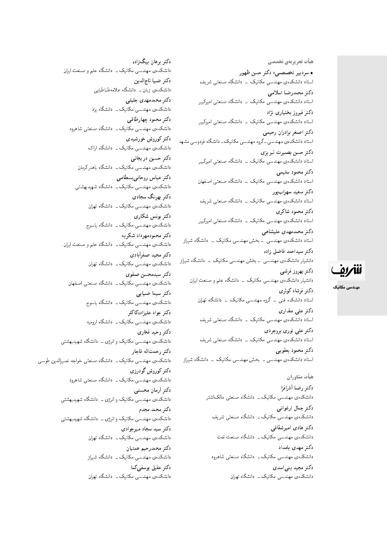هیأت تحریریهی تخصصی • سردبیر تخصصی: دکتر حسن ظهور استاد دانشکدهی مهندسی مکانیک \_ دانشگاه صنعتی شریف دكتر محمدرضا اسلامى استاد دانشکدهی مهندسی مکانیک <mark>ـ دانشگاه صنعتی امیرکبیر</mark> دکتر فیروز بختیار*ی* نژاد استاد دانشکدهی مهندسی مکانیک <mark>ـ دانشگاه صنعتی امیرکبیر</mark> دكتر اصغر برادران رحيمي استاد دانشکدهی مهندسبی ـ گروه مهندسبی مکانیک ـ دانشگاه فردوسی مشهد دكتر حسن بصيرت تبريزي استاد دانشکدهی مهندسی مکانیک <mark>ـ دانشگاه صنعتی امیرکبیر</mark> دكتر محمود سليمي استاد دانشکدهی مهندسی مکانیک - دانشگاه صنعتی اصفهان دکتر سعید سهرابیور استاد دانشکدهی مهندسی مکانیک \_ دانشگاه صنعتی شریف دكتر محمود شاكرى استاد دانشکدهی مهندسی مکانیک \_ دانشگاه صنعتی امیرکبیر دکتر محمدمهدی علیشاهی استاد دانشکدهی مهندسی <mark>ـ بخش مهندسی مکانیک ـ دانشگاه شیراز</mark> دكتر سيداحمد فاضل زاده دانشیار دانشکدهی مهندسی - بخش مهندسی مکانیک - دانشگاه شیراز دكتر بهروز فرشي دانشیار دانشکدهی مهندسی مکانیک \_ دانشگاه علم و صنعت ایران دكتر فرشاد كوثرى استاد دانشکده فنبی ــ گروه مهندسی مکانیک ــ دانشگاه تهران دکتر علی مقدار*ی* استاد دانشکدهی مهندسی مکانیک \_ دانشگاه صنعتی شریف دکتر علی نوری بروجردی استاد دانشکدهی مهندسی مکانیک - دانشگاه صنعتی شریف

دكتر محمود يعقوبي استاد دانشکدهی مهندسی ــ بخش مهندسی مکانیک ــ دانشگاه شی<sub>ل</sub>از

> هيأت مشاوران دكتر رضا أذرافزا دانشکدهی مهندسی مکانیک ـــ دانشگاه صنعتی مالکاشتر دكتر جمال ارغواني دانشکدهی مهندسی مکانیک ــ دانشگاه صنعتی شریف دکتر هادی امیرشقاق<u>ی</u> دانشکدهی مهندسی مکانیک ـــ دانشگاه صنعت نفت دکتر مهدی بامداد دانشکده،ی مهندسی مکانیک ــ دانشگاه صنعتبی شاهرود دکتر مجید بنے اسد*ی* دانشکدهی مهندسی مکانیک ـــ دانشگاه تهران

دکتر برهان بیگزاده دانشکدهی مهندسی مکانیک ــ دانشگاه علم و صنعت ایران دكتر ضيا تاج|لدين دانشکدهی زبان ــ دانشگاه علامهطباطباییم دكتر محمدمهدى جليلى دانشکدهی مهندسی مکانیک ــ دانشگاه یزد دكتر محمود چهارطاقبي دانشکدهی مهندسی مکانیک ــ دانشگاه صنعتی شاهرود دکتر کوروش خورشیدی دانشکدهی مهندسی مکانیک ــ دانشگاه اراک دکتر حسین دریجانی دانشکدهی مهندسی مکانیک ــ دانشگاه باهنرکرمان دكتر عباس روحاني بسطامي دانشکدهی مهندسی مکانیک ــ دانشگاه شهیدبهشتی دکتر بھرنگ سجادی دانشکدهی مهندسی مکانیک ــ دانشگاه تهران دکتر یونس شکار*ی* دانشکده ی مهندسی مکانیک ــ دانشگاه یاسوج دكتر محمودمهرداد شكريه دانشکدهی مهندسی مکانیک ــ دانشگاه علم و صنعت ایران دكتر مجيد صفرأبادي دانشکدهی مهندسی مکانیک ــ دانشگاه تهران دكتر سيدمحسن صفوى دانشکدهی مهندسی مکانیک ــ دانشگاه صنعتی اصفهان دكتر سيما ضيايي دانشکدهی مهندسی مکانیک ــ دانشگاه یاسوج دكتر جواد عليزادهكاكلر دانشکدهی مهندسی مکانیک ــ دانشگاه ارومیه دكتر وحيد فخارى دانشکدهی مهندسی مکانیک و انرژی ــ دانشگاه شهیدبهشتی دكتر رحمت اله قاجار دانشکدهی مهندسی مکانیک ــ دانشگاه صنعتی خواجه نصیرالدین طوسی دکتر کوروش گودرز*ی* دانشکدهی مهندسی مکانیک ــ دانشگاه صنعتی شاهرود دكتر أرمان محسنى دانشکدهی مهندسی مکانیک و انرژی ــ دانشگاه شهیدبهشتی دكتر محمد مجدم دانشکدهی مهندسی مکانیک و انرژی ــ دانشگاه شهیدبهشتی دکتر سید سجاد میرجوادی دانشکدهی مهندسی مکانیک ــ دانشگاه تهران دكتر محمدرحيم همتيان دانشکده،ی مهندسی مکانیک ــ دانشگاه شیراز دكتر عقبل بوسفي كما دانشکدهی مهندسی مکانیک ــ دانشگاه تهران



مهندسی مکانیک